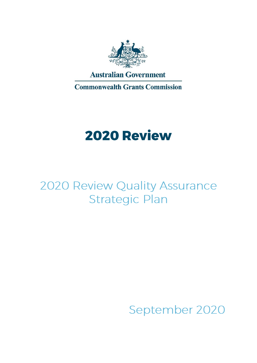

**Commonwealth Grants Commission** 

# **2020 Review**

# 2020 Review Quality Assurance **Strategic Plan**

September 2020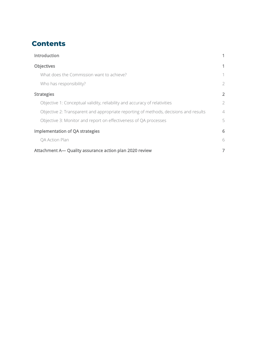# **Contents**

| Introduction                                                                         |                |
|--------------------------------------------------------------------------------------|----------------|
| <b>Objectives</b>                                                                    |                |
| What does the Commission want to achieve?                                            | 1              |
| Who has responsibility?                                                              | $\overline{2}$ |
| <b>Strategies</b>                                                                    | $\overline{2}$ |
| Objective 1: Conceptual validity, reliability and accuracy of relativities           | $\overline{2}$ |
| Objective 2: Transparent and appropriate reporting of methods, decisions and results | $\overline{4}$ |
| Objective 3: Monitor and report on effectiveness of QA processes                     | 5              |
| <b>Implementation of QA strategies</b>                                               | 6              |
| QA Action Plan                                                                       | 6              |
| Attachment A— Quality assurance action plan 2020 review                              | 7              |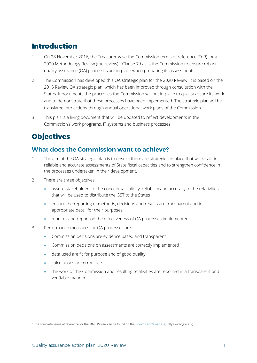# <span id="page-2-0"></span>**Introduction**

- 1 On 28 November 2016, the Treasurer gave the Commission terms of reference (ToR) for a 2020 Methodology Review (the review).<sup>1</sup> Clause 7d asks the Commission to ensure robust quality assurance (QA) processes are in place when preparing its assessments.
- 2 The Commission has developed this QA strategic plan for the 2020 Review. It is based on the 2015 Review QA strategic plan, which has been improved through consultation with the States. It documents the processes the Commission will put in place to quality assure its work and to demonstrate that these processes have been implemented. The strategic plan will be translated into actions through annual operational work plans of the Commission.
- 3 This plan is a living document that will be updated to reflect developments in the Commission's work programs, IT systems and business processes.

# <span id="page-2-1"></span>**Objectives**

#### <span id="page-2-2"></span>What does the Commission want to achieve?

- 1 The aim of the QA strategic plan is to ensure there are strategies in place that will result in reliable and accurate assessments of State fiscal capacities and to strengthen confidence in the processes undertaken in their development.
- 2 There are three objectives:
	- assure stakeholders of the conceptual validity, reliability and accuracy of the relativities that will be used to distribute the GST to the States
	- ensure the reporting of methods, decisions and results are transparent and in appropriate detail for their purposes
	- monitor and report on the effectiveness of QA processes implemented.
- 3 Performance measures for QA processes are:
	- Commission decisions are evidence based and transparent
	- Commission decisions on assessments are correctly implemented
	- data used are fit for purpose and of good quality
	- calculations are error-free
	- the work of the Commission and resulting relativities are reported in a transparent and verifiable manner.

<sup>1</sup> The complete terms of reference for the 2020 Review can be found on the [Commission's website](https://cgc.gov.au/index.php?option=com_content&view=article&id=257&Itemid=534), (https://cgc.gov.au/).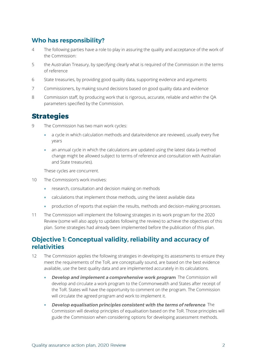#### <span id="page-3-0"></span>**Who has responsibility?**

- 4 The following parties have a role to play in assuring the quality and acceptance of the work of the Commission:
- 5 the Australian Treasury, by specifying clearly what is required of the Commission in the terms of reference
- 6 State treasuries, by providing good quality data, supporting evidence and arguments
- 7 Commissioners, by making sound decisions based on good quality data and evidence
- 8 Commission staff, by producing work that is rigorous, accurate, reliable and within the QA parameters specified by the Commission.

### <span id="page-3-1"></span>**Strategies**

- 9 The Commission has two main work cycles:
	- a cycle in which calculation methods and data/evidence are reviewed, usually every five years
	- an annual cycle in which the calculations are updated using the latest data (a method change might be allowed subject to terms of reference and consultation with Australian and State treasuries).

These cycles are concurrent.

- 10 The Commission's work involves:
	- research, consultation and decision making on methods
	- calculations that implement those methods, using the latest available data
	- production of reports that explain the results, methods and decision-making processes.
- 11 The Commission will implement the following strategies in its work program for the 2020 Review (some will also apply to updates following the review) to achieve the objectives of this plan. Some strategies had already been implemented before the publication of this plan.

#### <span id="page-3-2"></span>Objective 1: Conceptual validity, reliability and accuracy of **relativities**

- 12 The Commission applies the following strategies in developing its assessments to ensure they meet the requirements of the ToR, are conceptually sound, are based on the best evidence available, use the best quality data and are implemented accurately in its calculations.
	- **Develop and implement a comprehensive work program**. The Commission will develop and circulate a work program to the Commonwealth and States after receipt of the ToR. States will have the opportunity to comment on the program. The Commission will circulate the agreed program and work to implement it.
	- **Develop equalisation principles consistent with the terms of reference.** The Commission will develop principles of equalisation based on the ToR. Those principles will guide the Commission when considering options for developing assessment methods.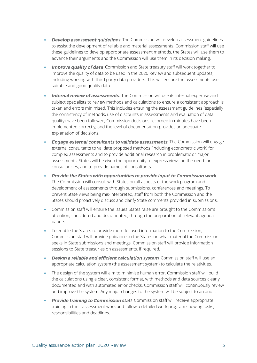- **Develop assessment quidelines**. The Commission will develop assessment guidelines to assist the development of reliable and material assessments. Commission staff will use these guidelines to develop appropriate assessment methods, the States will use them to advance their arguments and the Commission will use them in its decision making.
- Improve quality of data. Commission and State treasury staff will work together to improve the quality of data to be used in the 2020 Review and subsequent updates, including working with third party data providers. This will ensure the assessments use suitable and good quality data.
- **Internal review of assessments**. The Commission will use its internal expertise and subject specialists to review methods and calculations to ensure a consistent approach is taken and errors minimised. This includes ensuring the assessment guidelines (especially the consistency of methods, use of discounts in assessments and evaluation of data quality) have been followed, Commission decisions recorded in minutes have been implemented correctly, and the level of documentation provides an adequate explanation of decisions.
- **Engage external consultants to validate assessments**. The Commission will engage external consultants to validate proposed methods (including econometric work) for complex assessments and to provide additional research in problematic or major assessments. States will be given the opportunity to express views on the need for consultancies, and to provide names of consultants.
- Provide the States with opportunities to provide input to Commission work. The Commission will consult with States on all aspects of the work program and development of assessments through submissions, conferences and meetings. To prevent State views being mis-interpreted, staff from both the Commission and the States should proactively discuss and clarify State comments provided in submissions.
- Commission staff will ensure the issues States raise are brought to the Commission's attention, considered and documented, through the preparation of relevant agenda papers.
- To enable the States to provide more focused information to the Commission, Commission staff will provide guidance to the States on what material the Commission seeks in State submissions and meetings. Commission staff will provide information sessions to State treasuries on assessments, if required.
- **Design a reliable and efficient calculation system**. Commission staff will use an appropriate calculation system (the assessment system) to calculate the relativities.
- The design of the system will aim to minimise human error. Commission staff will build the calculations using a clear, consistent format, with methods and data sources clearly documented and with automated error checks. Commission staff will continuously review and improve the system. Any major changes to the system will be subject to an audit.
- **Provide training to Commission staff**. Commission staff will receive appropriate training in their assessment work and follow a detailed work program showing tasks, responsibilities and deadlines.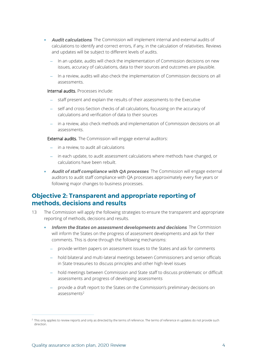- Audit calculations. The Commission will implement internal and external audits of calculations to identify and correct errors, if any, in the calculation of relativities. Reviews and updates will be subject to different levels of audits.
	- − In an update, audits will check the implementation of Commission decisions on new issues, accuracy of calculations, data to their sources and outcomes are plausible.
	- − In a review, audits will also check the implementation of Commission decisions on all assessments.

Internal audits. Processes include:

- staff present and explain the results of their assessments to the Executive
- − self and cross-Section checks of all calculations, focussing on the accuracy of calculations and verification of data to their sources
- − in a review, also check methods and implementation of Commission decisions on all assessments.

External audits. The Commission will engage external auditors:

- in a review, to audit all calculations
- − in each update, to audit assessment calculations where methods have changed, or calculations have been rebuilt.
- **Audit of staff compliance with QA processes**. The Commission will engage external auditors to audit staff compliance with QA processes approximately every five years or following major changes to business processes.

#### <span id="page-5-0"></span>**Objective 2: Transparent and appropriate reporting of** methods, decisions and results

- 13 The Commission will apply the following strategies to ensure the transparent and appropriate reporting of methods, decisions and results.
	- **Inform the States on assessment developments and decisions**. The Commission will inform the States on the progress of assessment developments and ask for their comments. This is done through the following mechanisms:
		- − provide written papers on assessment issues to the States and ask for comments
		- − hold bilateral and multi-lateral meetings between Commissioners and senior officials in State treasuries to discuss principles and other high-level issues
		- − hold meetings between Commission and State staff to discuss problematic or difficult assessments and progress of developing assessments
		- − provide a draft report to the States on the Commission's preliminary decisions on assessments<sup>2</sup>

<sup>&</sup>lt;sup>2</sup> This only applies to review reports and only as directed by the terms of reference. The terms of reference in updates do not provide such direction.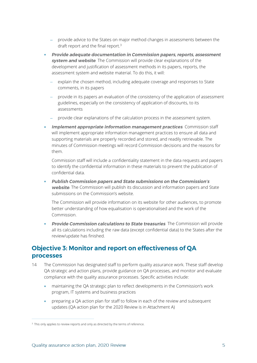- − provide advice to the States on major method changes in assessments between the draft report and the final report.<sup>3</sup>
- Provide adequate documentation in Commission papers, reports, assessment **system and website**. The Commission will provide clear explanations of the development and justification of assessment methods in its papers, reports, the assessment system and website material. To do this, it will:
	- explain the chosen method, including adequate coverage and responses to State comments, in its papers
	- provide in its papers an evaluation of the consistency of the application of assessment guidelines, especially on the consistency of application of discounts, to its assessments
	- − provide clear explanations of the calculation process in the assessment system.
- Implement appropriate information management practices. Commission staff will implement appropriate information management practices to ensure all data and supporting materials are properly recorded and stored, and readily retrievable. The minutes of Commission meetings will record Commission decisions and the reasons for them.

Commission staff will include a confidentiality statement in the data requests and papers to identify the confidential information in these materials to prevent the publication of confidential data.

Publish Commission papers and State submissions on the Commission's • website. The Commission will publish its discussion and information papers and State submissions on the Commission's website.

The Commission will provide information on its website for other audiences, to promote better understanding of how equalisation is operationalised and the work of the Commission.

**Provide Commission calculations to State treasuries**. The Commission will provide all its calculations including the raw data (except confidential data) to the States after the review/update has finished.

#### <span id="page-6-0"></span>**Objective 3: Monitor and report on effectiveness of QA processes**

- 14 The Commission has designated staff to perform quality assurance work. These staff develop QA strategic and action plans, provide guidance on QA processes, and monitor and evaluate compliance with the quality assurance processes. Specific activities include:
	- maintaining the QA strategic plan to reflect developments in the Commission's work program, IT systems and business practices
	- preparing a QA action plan for staff to follow in each of the review and subsequent updates (QA action plan for the 2020 Review is in Attachment A)

<sup>&</sup>lt;sup>3</sup> This only applies to review reports and only as directed by the terms of reference.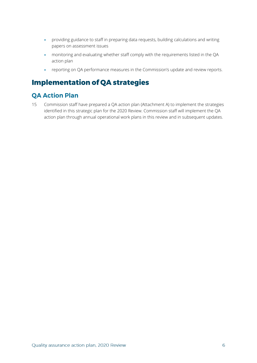- providing guidance to staff in preparing data requests, building calculations and writing papers on assessment issues
- monitoring and evaluating whether staff comply with the requirements listed in the QA action plan
- reporting on QA performance measures in the Commission's update and review reports.

# <span id="page-7-0"></span>**Implementation of QA strategies**

#### <span id="page-7-1"></span>**QA Action Plan**

15 Commission staff have prepared a QA action plan (Attachment A) to implement the strategies identified in this strategic plan for the 2020 Review. Commission staff will implement the QA action plan through annual operational work plans in this review and in subsequent updates.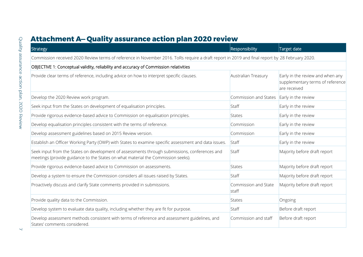# **Attachment A- Quality assurance action plan 2020 review**

<span id="page-8-0"></span>

| Strategy                                                                                                                                                                          | Responsibility                | Target date                                                                          |
|-----------------------------------------------------------------------------------------------------------------------------------------------------------------------------------|-------------------------------|--------------------------------------------------------------------------------------|
| Commission received 2020 Review terms of reference in November 2016. ToRs require a draft report in 2019 and final report by 28 February 2020.                                    |                               |                                                                                      |
| OBJECTIVE 1: Conceptual validity, reliability and accuracy of Commission relativities                                                                                             |                               |                                                                                      |
| Provide clear terms of reference, including advice on how to interpret specific clauses.                                                                                          | Australian Treasury           | Early in the review and when any<br>supplementary terms of reference<br>are received |
| Develop the 2020 Review work program.                                                                                                                                             | Commission and States         | Early in the review                                                                  |
| Seek input from the States on development of equalisation principles.                                                                                                             | Staff                         | Early in the review                                                                  |
| Provide rigorous evidence-based advice to Commission on equalisation principles.                                                                                                  | States                        | Early in the review                                                                  |
| Develop equalisation principles consistent with the terms of reference.                                                                                                           | Commission                    | Early in the review                                                                  |
| Develop assessment guidelines based on 2015 Review version.                                                                                                                       | Commission                    | Early in the review                                                                  |
| Establish an Officer Working Party (OWP) with States to examine specific assessment and data issues.                                                                              | Staff                         | Early in the review                                                                  |
| Seek input from the States on development of assessments through submissions, conferences and<br>meetings (provide guidance to the States on what material the Commission seeks). | Staff                         | Majority before draft report                                                         |
| Provide rigorous evidence-based advice to Commission on assessments.                                                                                                              | States                        | Majority before draft report                                                         |
| Develop a system to ensure the Commission considers all issues raised by States.                                                                                                  | Staff                         | Majority before draft report                                                         |
| Proactively discuss and clarify State comments provided in submissions.                                                                                                           | Commission and State<br>staff | Majority before draft report                                                         |
| Provide quality data to the Commission.                                                                                                                                           | States                        | Ongoing                                                                              |
| Develop system to evaluate data quality, including whether they are fit for purpose.                                                                                              | Staff                         | Before draft report                                                                  |
| Develop assessment methods consistent with terms of reference and assessment guidelines, and<br>States' comments considered.                                                      | Commission and staff          | Before draft report                                                                  |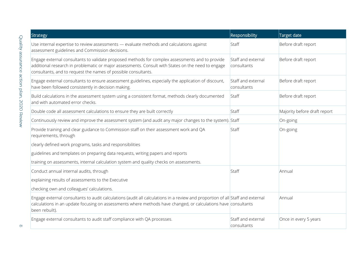| Strategy                                                                                                                                                                                                                                                                | Responsibility                    | Target date                  |
|-------------------------------------------------------------------------------------------------------------------------------------------------------------------------------------------------------------------------------------------------------------------------|-----------------------------------|------------------------------|
| Use internal expertise to review assessments - evaluate methods and calculations against<br>assessment guidelines and Commission decisions.                                                                                                                             | Staff                             | Before draft report          |
| Engage external consultants to validate proposed methods for complex assessments and to provide<br>additional research in problematic or major assessments. Consult with States on the need to engage<br>consultants, and to request the names of possible consultants. | Staff and external<br>consultants | Before draft report          |
| Engage external consultants to ensure assessment guidelines, especially the application of discount,<br>have been followed consistently in decision making.                                                                                                             | Staff and external<br>consultants | Before draft report          |
| Build calculations in the assessment system using a consistent format, methods clearly documented<br>and with automated error checks.                                                                                                                                   | Staff                             | Before draft report          |
| Double code all assessment calculations to ensure they are built correctly                                                                                                                                                                                              | Staff                             | Majority before draft report |
| Continuously review and improve the assessment system (and audit any major changes to the system). Staff                                                                                                                                                                |                                   | On-going                     |
| Provide training and clear guidance to Commission staff on their assessment work and QA<br>requirements, through                                                                                                                                                        | Staff                             | On-going                     |
| clearly defined work programs, tasks and responsibilities                                                                                                                                                                                                               |                                   |                              |
| guidelines and templates on preparing data requests, writing papers and reports                                                                                                                                                                                         |                                   |                              |
| training on assessments, internal calculation system and quality checks on assessments.                                                                                                                                                                                 |                                   |                              |
| Conduct annual internal audits, through                                                                                                                                                                                                                                 | Staff                             | Annual                       |
| explaining results of assessments to the Executive                                                                                                                                                                                                                      |                                   |                              |
| checking own and colleagues' calculations.                                                                                                                                                                                                                              |                                   |                              |
| Engage external consultants to audit calculations (audit all calculations in a review and proportion of all Staff and external<br>calculations in an update focusing on assessments where methods have changed, or calculations have consultants<br>been rebuilt).      |                                   | Annual                       |
| Engage external consultants to audit staff compliance with QA processes.                                                                                                                                                                                                | Staff and external<br>consultants | Once in every 5 years        |